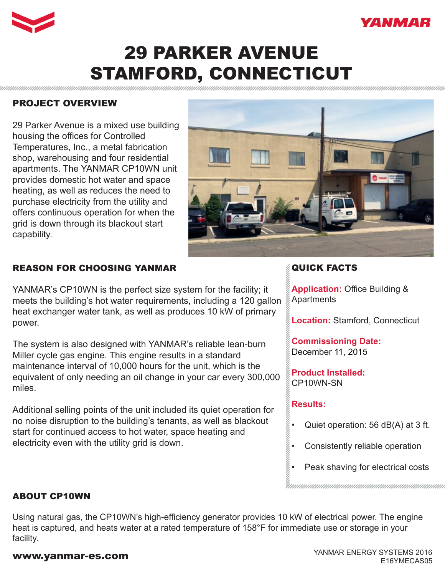



# 29 PARKER AVENUE STAMFORD, CONNECTICUT

## PROJECT OVERVIEW

29 Parker Avenue is a mixed use building housing the offices for Controlled Temperatures, Inc., a metal fabrication shop, warehousing and four residential apartments. The YANMAR CP10WN unit provides domestic hot water and space heating, as well as reduces the need to purchase electricity from the utility and offers continuous operation for when the grid is down through its blackout start capability.



## REASON FOR CHOOSING YANMAR

YANMAR's CP10WN is the perfect size system for the facility; it meets the building's hot water requirements, including a 120 gallon heat exchanger water tank, as well as produces 10 kW of primary power.

The system is also designed with YANMAR's reliable lean-burn Miller cycle gas engine. This engine results in a standard maintenance interval of 10,000 hours for the unit, which is the equivalent of only needing an oil change in your car every 300,000 miles.

Additional selling points of the unit included its quiet operation for no noise disruption to the building's tenants, as well as blackout start for continued access to hot water, space heating and electricity even with the utility grid is down.

# QUICK FACTS

**Application:** Office Building & **Apartments** 

**Location:** Stamford, Connecticut

**Commissioning Date:**  December 11, 2015

**Product Installed:** CP10WN-SN

### **Results:**

- Quiet operation: 56 dB(A) at 3 ft.
- Consistently reliable operation
- Peak shaving for electrical costs

ABOUT CP10WN

Using natural gas, the CP10WN's high-efficiency generator provides 10 kW of electrical power. The engine heat is captured, and heats water at a rated temperature of 158°F for immediate use or storage in your facility.